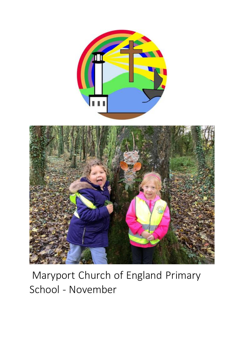



# Maryport Church of England Primary School - November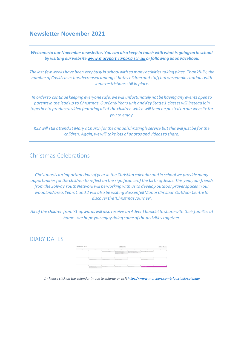#### **Newsletter November 2021**

*Welcome to our November newsletter. You can also keep in touch with what is going on in school by visiting our website [www.maryport.cumbria.sch.uk](https://www.maryport.cumbria.sch.uk/) or following us on Facebook.*

*The last few weeks have been very busy in school with so many activities taking place. Thankfully, the number of Covid cases has decreased amongst both children and staff but we remain cautious with some restrictions still in place.*

*In order to continue keeping everyone safe, we will unfortunately not be having any events open to parents in the lead up to Christmas. Our Early Years unit and Key Stage 1 classes will instead join together to produce a video featuring all of the children which will then be posted on our website for you to enjoy.*

*KS2 will still attend St Mary's Church for the annual Christingle service but this will just be for the children. Again, we will take lots of photos and videos to share.*

## Christmas Celebrations

*Christmas is an important time of year in the Christian calendar and in school we provide many opportunities for the children to reflect on the significance of the birth of Jesus. This year, our friends from the Solway Youth Network will be working with us to develop outdoor prayer spaces in our woodland area. Years 1 and 2 will also be visiting Bassenfell Manor Christian Outdoor Centre to discover the 'Christmas Journey'.*

*All of the children from Y1 upwards will also receive an Advent booklet to share with their families at home - we hope you enjoy doing some of the activities together.*

#### DIARY DATES



*1 - Please click on the calendar image to enlarge or visi[t https://www.maryport.cumbria.sch.uk/calendar](https://www.maryport.cumbria.sch.uk/calendar)*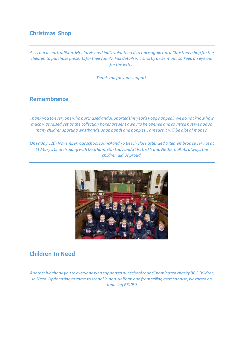# **Christmas Shop**

*As is our usual tradition, Mrs Jarvis has kindly volunteered to once again run a Christmas shop for the children to purchase presents for their family. Full details will shortly be sent out so keep an eye out for the letter.*

*Thank you for your support.*

#### **Remembrance**

*Thank you to everyone who purchased and supported this year's Poppy appeal. We do not know how much was raised yet as the collection boxes are sent away to be opened and counted but we had so many children sporting wristbands, snap bands and poppies, I am sure it will be alot of money.*

*On Friday 12th November, our school council and Y6 Beech class attended a Remembrance Service at St Mary's Church along with Dearham, Our Lady and St Patrick's and Netherhall. As always the children did us proud.*



## **Children In Need**

*Another big thank you to everyone who supported our school council nominated charity BBC Children In Need. By donating to come to school in non-uniform and from selling merchandise, we raised an amazing £740!!!*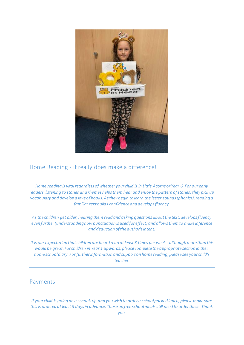

# Home Reading - it really does make a difference!

*Home reading is vital regardless of whether your child is in Little Acorns or Year 6. For our early readers, listening to stories and rhymes helps them hear and enjoy the pattern of stories, they pick up vocabulary and develop a love of books. As they begin to learn the letter sounds (phonics), reading a familiar text builds confidence and develops fluency.* 

*As the children get older, hearing them read and asking questions about the text, develops fluency even further (understanding how punctuation is used for effect) and allows them to make inference and deduction of the author's intent.*

*It is our expectation that children are heard read at least 3 times per week - although more than this would be great. For children in Year 1 upwards, please complete the appropriate section in their home school diary. For further information and support on home reading, please see your child's teacher.*

## Payments

*If your child is going on a school trip and you wish to order a school packed lunch, please make sure this is ordered at least 3 days in advance. Those on free school meals still need to order these. Thank*